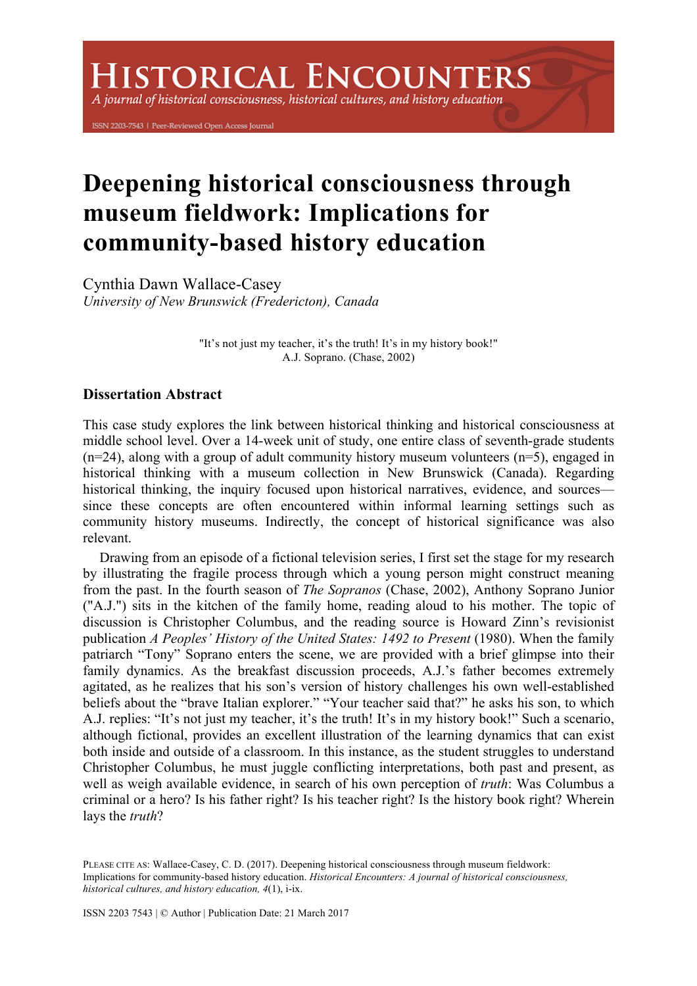A journal of historical consciousness, historical cultures, and history education

ISSN 2203-7543 | Peer-Reviewed Open Access Journal

# **Deepening historical consciousness through museum fieldwork: Implications for community-based history education**

Cynthia Dawn Wallace-Casey *University of New Brunswick (Fredericton), Canada*

> "It's not just my teacher, it's the truth! It's in my history book!" A.J. Soprano. (Chase, 2002)

## **Dissertation Abstract**

This case study explores the link between historical thinking and historical consciousness at middle school level. Over a 14-week unit of study, one entire class of seventh-grade students  $(n=24)$ , along with a group of adult community history museum volunteers  $(n=5)$ , engaged in historical thinking with a museum collection in New Brunswick (Canada). Regarding historical thinking, the inquiry focused upon historical narratives, evidence, and sources since these concepts are often encountered within informal learning settings such as community history museums. Indirectly, the concept of historical significance was also relevant.

Drawing from an episode of a fictional television series, I first set the stage for my research by illustrating the fragile process through which a young person might construct meaning from the past. In the fourth season of *The Sopranos* (Chase, 2002), Anthony Soprano Junior ("A.J.") sits in the kitchen of the family home, reading aloud to his mother. The topic of discussion is Christopher Columbus, and the reading source is Howard Zinn's revisionist publication *A Peoples' History of the United States: 1492 to Present* (1980). When the family patriarch "Tony" Soprano enters the scene, we are provided with a brief glimpse into their family dynamics. As the breakfast discussion proceeds, A.J.'s father becomes extremely agitated, as he realizes that his son's version of history challenges his own well-established beliefs about the "brave Italian explorer." "Your teacher said that?" he asks his son, to which A.J. replies: "It's not just my teacher, it's the truth! It's in my history book!" Such a scenario, although fictional, provides an excellent illustration of the learning dynamics that can exist both inside and outside of a classroom. In this instance, as the student struggles to understand Christopher Columbus, he must juggle conflicting interpretations, both past and present, as well as weigh available evidence, in search of his own perception of *truth*: Was Columbus a criminal or a hero? Is his father right? Is his teacher right? Is the history book right? Wherein lays the *truth*?

PLEASE CITE AS: Wallace-Casey, C. D. (2017). Deepening historical consciousness through museum fieldwork: Implications for community-based history education. *Historical Encounters: A journal of historical consciousness, historical cultures, and history education, 4*(1), i-ix.

ISSN 2203 7543 | © Author | Publication Date: 21 March 2017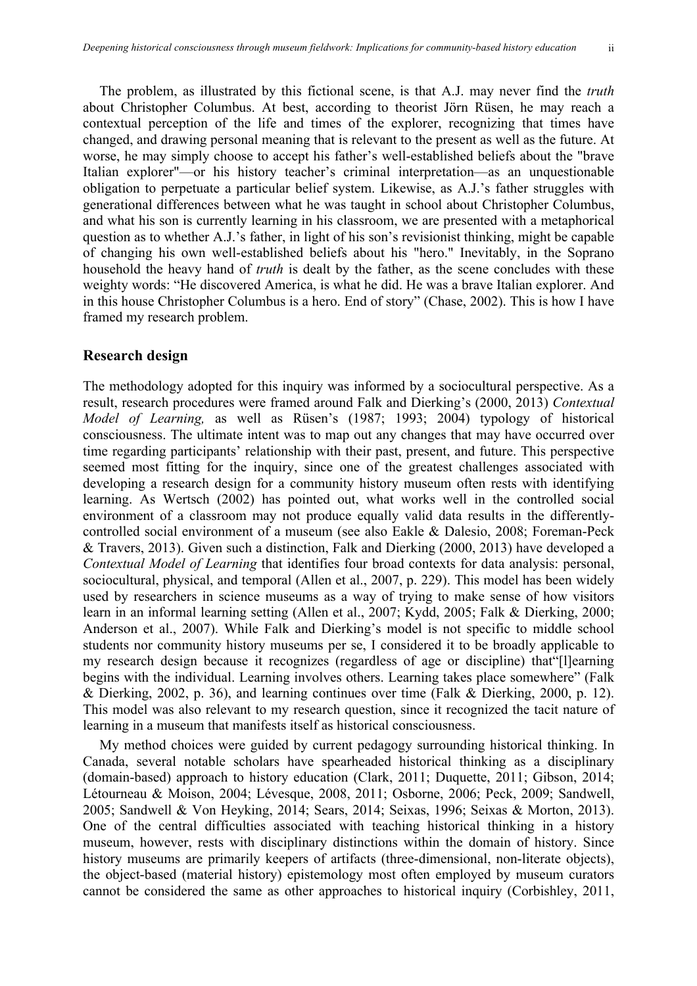The problem, as illustrated by this fictional scene, is that A.J. may never find the *truth* about Christopher Columbus. At best, according to theorist Jörn Rüsen, he may reach a contextual perception of the life and times of the explorer, recognizing that times have changed, and drawing personal meaning that is relevant to the present as well as the future. At worse, he may simply choose to accept his father's well-established beliefs about the "brave Italian explorer"—or his history teacher's criminal interpretation—as an unquestionable obligation to perpetuate a particular belief system. Likewise, as A.J.'s father struggles with generational differences between what he was taught in school about Christopher Columbus, and what his son is currently learning in his classroom, we are presented with a metaphorical question as to whether A.J.'s father, in light of his son's revisionist thinking, might be capable of changing his own well-established beliefs about his "hero." Inevitably, in the Soprano household the heavy hand of *truth* is dealt by the father, as the scene concludes with these weighty words: "He discovered America, is what he did. He was a brave Italian explorer. And in this house Christopher Columbus is a hero. End of story" (Chase, 2002). This is how I have framed my research problem.

#### **Research design**

The methodology adopted for this inquiry was informed by a sociocultural perspective. As a result, research procedures were framed around Falk and Dierking's (2000, 2013) *Contextual Model of Learning,* as well as Rüsen's (1987; 1993; 2004) typology of historical consciousness. The ultimate intent was to map out any changes that may have occurred over time regarding participants' relationship with their past, present, and future. This perspective seemed most fitting for the inquiry, since one of the greatest challenges associated with developing a research design for a community history museum often rests with identifying learning. As Wertsch (2002) has pointed out, what works well in the controlled social environment of a classroom may not produce equally valid data results in the differentlycontrolled social environment of a museum (see also Eakle & Dalesio, 2008; Foreman-Peck & Travers, 2013). Given such a distinction, Falk and Dierking (2000, 2013) have developed a *Contextual Model of Learning* that identifies four broad contexts for data analysis: personal, sociocultural, physical, and temporal (Allen et al., 2007, p. 229). This model has been widely used by researchers in science museums as a way of trying to make sense of how visitors learn in an informal learning setting (Allen et al., 2007; Kydd, 2005; Falk & Dierking, 2000; Anderson et al., 2007). While Falk and Dierking's model is not specific to middle school students nor community history museums per se, I considered it to be broadly applicable to my research design because it recognizes (regardless of age or discipline) that"[l]earning begins with the individual. Learning involves others. Learning takes place somewhere" (Falk & Dierking, 2002, p. 36), and learning continues over time (Falk & Dierking, 2000, p. 12). This model was also relevant to my research question, since it recognized the tacit nature of learning in a museum that manifests itself as historical consciousness.

My method choices were guided by current pedagogy surrounding historical thinking. In Canada, several notable scholars have spearheaded historical thinking as a disciplinary (domain-based) approach to history education (Clark, 2011; Duquette, 2011; Gibson, 2014; Létourneau & Moison, 2004; Lévesque, 2008, 2011; Osborne, 2006; Peck, 2009; Sandwell, 2005; Sandwell & Von Heyking, 2014; Sears, 2014; Seixas, 1996; Seixas & Morton, 2013). One of the central difficulties associated with teaching historical thinking in a history museum, however, rests with disciplinary distinctions within the domain of history. Since history museums are primarily keepers of artifacts (three-dimensional, non-literate objects), the object-based (material history) epistemology most often employed by museum curators cannot be considered the same as other approaches to historical inquiry (Corbishley, 2011,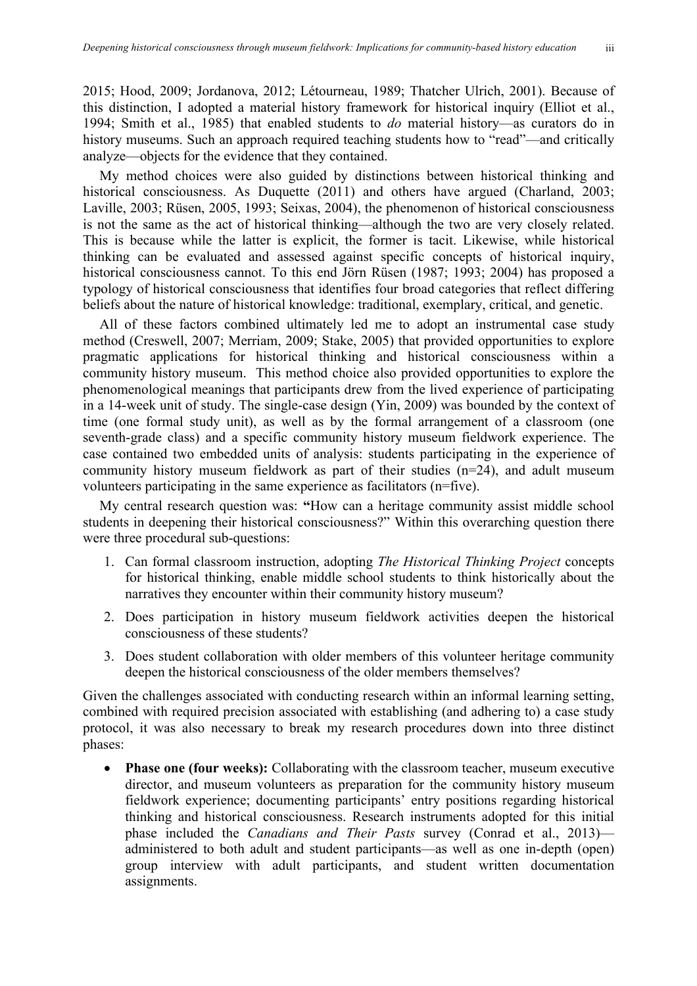2015; Hood, 2009; Jordanova, 2012; Létourneau, 1989; Thatcher Ulrich, 2001). Because of this distinction, I adopted a material history framework for historical inquiry (Elliot et al., 1994; Smith et al., 1985) that enabled students to *do* material history—as curators do in history museums. Such an approach required teaching students how to "read"—and critically analyze—objects for the evidence that they contained.

My method choices were also guided by distinctions between historical thinking and historical consciousness. As Duquette (2011) and others have argued (Charland, 2003; Laville, 2003; Rüsen, 2005, 1993; Seixas, 2004), the phenomenon of historical consciousness is not the same as the act of historical thinking—although the two are very closely related. This is because while the latter is explicit, the former is tacit. Likewise, while historical thinking can be evaluated and assessed against specific concepts of historical inquiry, historical consciousness cannot. To this end Jörn Rüsen (1987; 1993; 2004) has proposed a typology of historical consciousness that identifies four broad categories that reflect differing beliefs about the nature of historical knowledge: traditional, exemplary, critical, and genetic.

All of these factors combined ultimately led me to adopt an instrumental case study method (Creswell, 2007; Merriam, 2009; Stake, 2005) that provided opportunities to explore pragmatic applications for historical thinking and historical consciousness within a community history museum. This method choice also provided opportunities to explore the phenomenological meanings that participants drew from the lived experience of participating in a 14-week unit of study. The single-case design (Yin, 2009) was bounded by the context of time (one formal study unit), as well as by the formal arrangement of a classroom (one seventh-grade class) and a specific community history museum fieldwork experience. The case contained two embedded units of analysis: students participating in the experience of community history museum fieldwork as part of their studies (n=24), and adult museum volunteers participating in the same experience as facilitators (n=five).

My central research question was: **"**How can a heritage community assist middle school students in deepening their historical consciousness?" Within this overarching question there were three procedural sub-questions:

- 1. Can formal classroom instruction, adopting *The Historical Thinking Project* concepts for historical thinking, enable middle school students to think historically about the narratives they encounter within their community history museum?
- 2. Does participation in history museum fieldwork activities deepen the historical consciousness of these students?
- 3. Does student collaboration with older members of this volunteer heritage community deepen the historical consciousness of the older members themselves?

Given the challenges associated with conducting research within an informal learning setting, combined with required precision associated with establishing (and adhering to) a case study protocol, it was also necessary to break my research procedures down into three distinct phases:

• **Phase one (four weeks):** Collaborating with the classroom teacher, museum executive director, and museum volunteers as preparation for the community history museum fieldwork experience; documenting participants' entry positions regarding historical thinking and historical consciousness. Research instruments adopted for this initial phase included the *Canadians and Their Pasts* survey (Conrad et al., 2013) administered to both adult and student participants—as well as one in-depth (open) group interview with adult participants, and student written documentation assignments.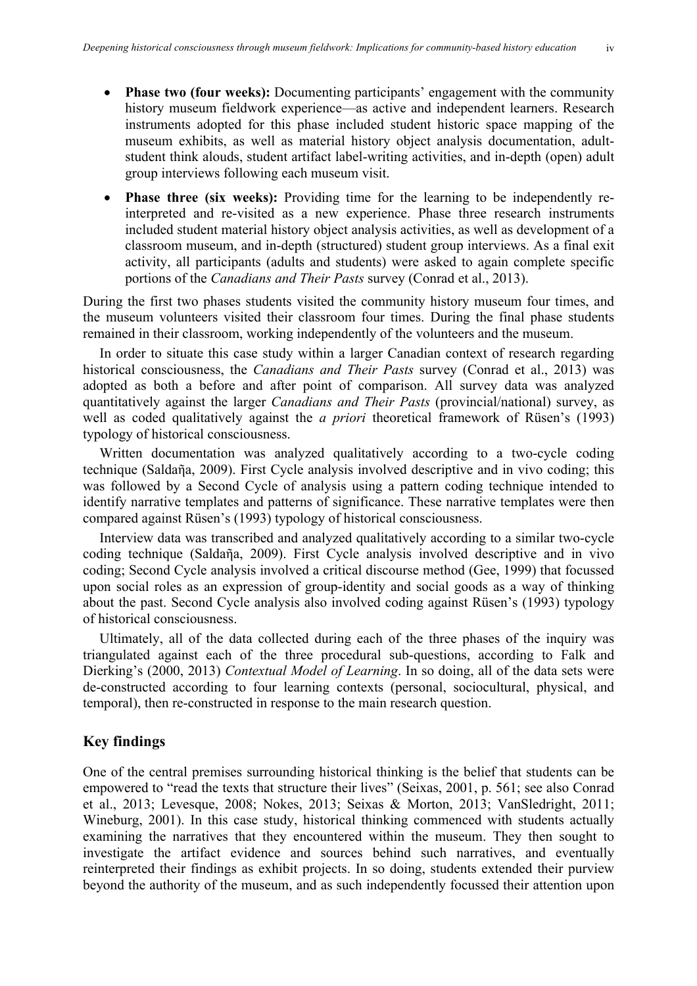- **Phase two (four weeks):** Documenting participants' engagement with the community history museum fieldwork experience—as active and independent learners. Research instruments adopted for this phase included student historic space mapping of the museum exhibits, as well as material history object analysis documentation, adultstudent think alouds, student artifact label-writing activities, and in-depth (open) adult group interviews following each museum visit.
- **Phase three (six weeks):** Providing time for the learning to be independently reinterpreted and re-visited as a new experience. Phase three research instruments included student material history object analysis activities, as well as development of a classroom museum, and in-depth (structured) student group interviews. As a final exit activity, all participants (adults and students) were asked to again complete specific portions of the *Canadians and Their Pasts* survey (Conrad et al., 2013).

During the first two phases students visited the community history museum four times, and the museum volunteers visited their classroom four times. During the final phase students remained in their classroom, working independently of the volunteers and the museum.

In order to situate this case study within a larger Canadian context of research regarding historical consciousness, the *Canadians and Their Pasts* survey (Conrad et al., 2013) was adopted as both a before and after point of comparison. All survey data was analyzed quantitatively against the larger *Canadians and Their Pasts* (provincial/national) survey, as well as coded qualitatively against the *a priori* theoretical framework of Rüsen's (1993) typology of historical consciousness.

Written documentation was analyzed qualitatively according to a two-cycle coding technique (Saldaῆa, 2009). First Cycle analysis involved descriptive and in vivo coding; this was followed by a Second Cycle of analysis using a pattern coding technique intended to identify narrative templates and patterns of significance. These narrative templates were then compared against Rüsen's (1993) typology of historical consciousness.

Interview data was transcribed and analyzed qualitatively according to a similar two-cycle coding technique (Saldaῆa, 2009). First Cycle analysis involved descriptive and in vivo coding; Second Cycle analysis involved a critical discourse method (Gee, 1999) that focussed upon social roles as an expression of group-identity and social goods as a way of thinking about the past. Second Cycle analysis also involved coding against Rüsen's (1993) typology of historical consciousness.

Ultimately, all of the data collected during each of the three phases of the inquiry was triangulated against each of the three procedural sub-questions, according to Falk and Dierking's (2000, 2013) *Contextual Model of Learning*. In so doing, all of the data sets were de-constructed according to four learning contexts (personal, sociocultural, physical, and temporal), then re-constructed in response to the main research question.

## **Key findings**

One of the central premises surrounding historical thinking is the belief that students can be empowered to "read the texts that structure their lives" (Seixas, 2001, p. 561; see also Conrad et al., 2013; Levesque, 2008; Nokes, 2013; Seixas & Morton, 2013; VanSledright, 2011; Wineburg, 2001). In this case study, historical thinking commenced with students actually examining the narratives that they encountered within the museum. They then sought to investigate the artifact evidence and sources behind such narratives, and eventually reinterpreted their findings as exhibit projects. In so doing, students extended their purview beyond the authority of the museum, and as such independently focussed their attention upon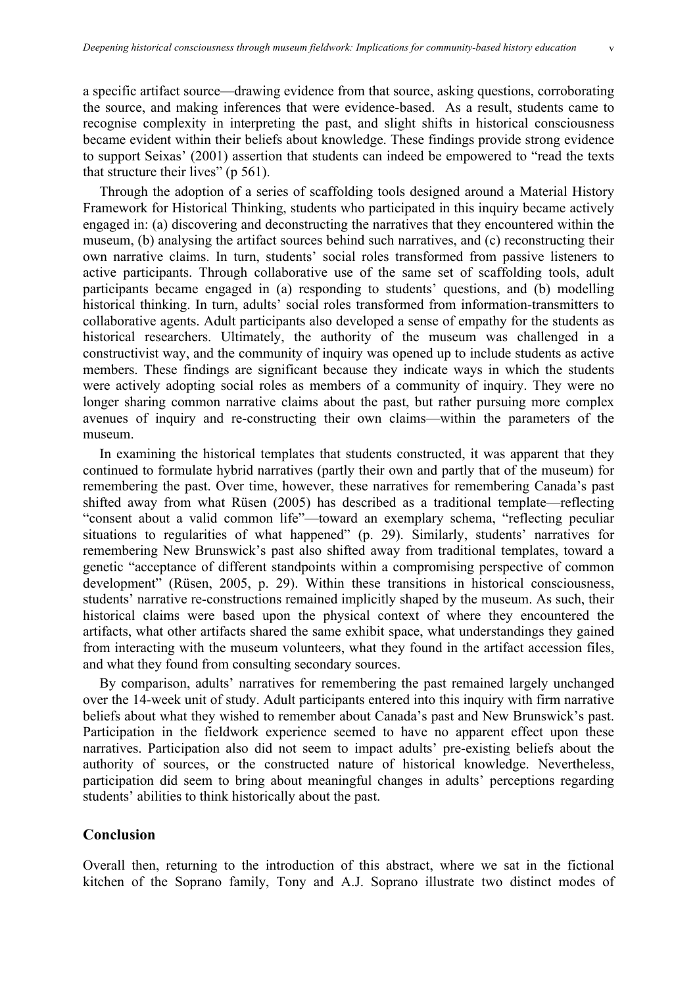a specific artifact source—drawing evidence from that source, asking questions, corroborating the source, and making inferences that were evidence-based. As a result, students came to recognise complexity in interpreting the past, and slight shifts in historical consciousness became evident within their beliefs about knowledge. These findings provide strong evidence to support Seixas' (2001) assertion that students can indeed be empowered to "read the texts that structure their lives" (p 561).

Through the adoption of a series of scaffolding tools designed around a Material History Framework for Historical Thinking, students who participated in this inquiry became actively engaged in: (a) discovering and deconstructing the narratives that they encountered within the museum, (b) analysing the artifact sources behind such narratives, and (c) reconstructing their own narrative claims. In turn, students' social roles transformed from passive listeners to active participants. Through collaborative use of the same set of scaffolding tools, adult participants became engaged in (a) responding to students' questions, and (b) modelling historical thinking. In turn, adults' social roles transformed from information-transmitters to collaborative agents. Adult participants also developed a sense of empathy for the students as historical researchers. Ultimately, the authority of the museum was challenged in a constructivist way, and the community of inquiry was opened up to include students as active members. These findings are significant because they indicate ways in which the students were actively adopting social roles as members of a community of inquiry. They were no longer sharing common narrative claims about the past, but rather pursuing more complex avenues of inquiry and re-constructing their own claims—within the parameters of the museum.

In examining the historical templates that students constructed, it was apparent that they continued to formulate hybrid narratives (partly their own and partly that of the museum) for remembering the past. Over time, however, these narratives for remembering Canada's past shifted away from what Rüsen (2005) has described as a traditional template—reflecting "consent about a valid common life"—toward an exemplary schema, "reflecting peculiar situations to regularities of what happened" (p. 29). Similarly, students' narratives for remembering New Brunswick's past also shifted away from traditional templates, toward a genetic "acceptance of different standpoints within a compromising perspective of common development" (Rüsen, 2005, p. 29). Within these transitions in historical consciousness, students' narrative re-constructions remained implicitly shaped by the museum. As such, their historical claims were based upon the physical context of where they encountered the artifacts, what other artifacts shared the same exhibit space, what understandings they gained from interacting with the museum volunteers, what they found in the artifact accession files, and what they found from consulting secondary sources.

By comparison, adults' narratives for remembering the past remained largely unchanged over the 14-week unit of study. Adult participants entered into this inquiry with firm narrative beliefs about what they wished to remember about Canada's past and New Brunswick's past. Participation in the fieldwork experience seemed to have no apparent effect upon these narratives. Participation also did not seem to impact adults' pre-existing beliefs about the authority of sources, or the constructed nature of historical knowledge. Nevertheless, participation did seem to bring about meaningful changes in adults' perceptions regarding students' abilities to think historically about the past.

#### **Conclusion**

Overall then, returning to the introduction of this abstract, where we sat in the fictional kitchen of the Soprano family, Tony and A.J. Soprano illustrate two distinct modes of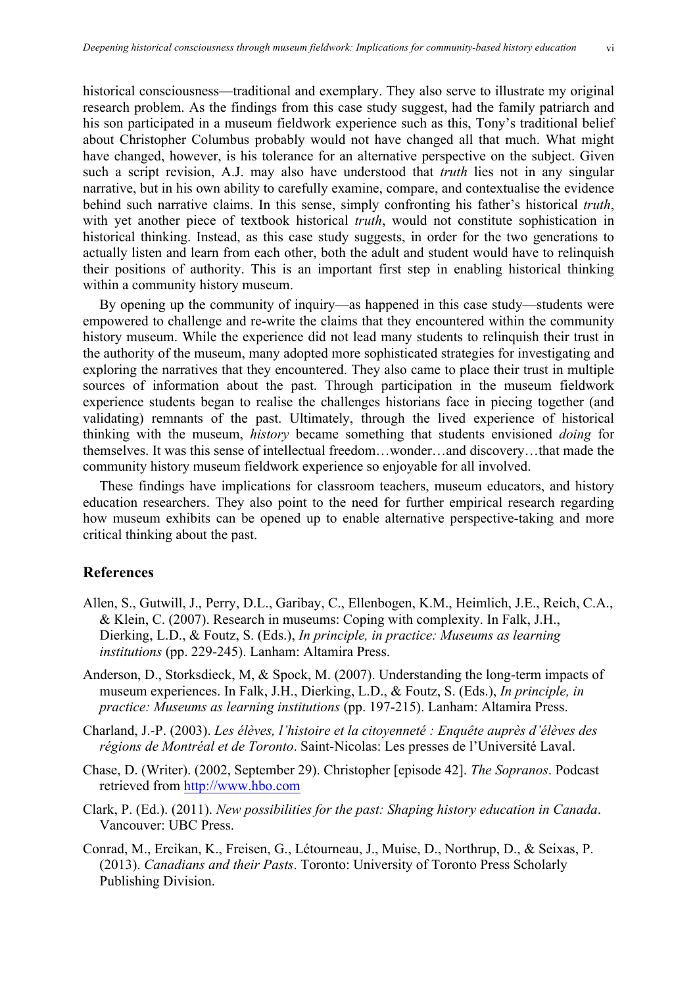historical consciousness—traditional and exemplary. They also serve to illustrate my original research problem. As the findings from this case study suggest, had the family patriarch and his son participated in a museum fieldwork experience such as this, Tony's traditional belief about Christopher Columbus probably would not have changed all that much. What might have changed, however, is his tolerance for an alternative perspective on the subject. Given such a script revision, A.J. may also have understood that *truth* lies not in any singular narrative, but in his own ability to carefully examine, compare, and contextualise the evidence behind such narrative claims. In this sense, simply confronting his father's historical *truth*, with yet another piece of textbook historical *truth*, would not constitute sophistication in historical thinking. Instead, as this case study suggests, in order for the two generations to actually listen and learn from each other, both the adult and student would have to relinquish their positions of authority. This is an important first step in enabling historical thinking within a community history museum.

By opening up the community of inquiry—as happened in this case study—students were empowered to challenge and re-write the claims that they encountered within the community history museum. While the experience did not lead many students to relinquish their trust in the authority of the museum, many adopted more sophisticated strategies for investigating and exploring the narratives that they encountered. They also came to place their trust in multiple sources of information about the past. Through participation in the museum fieldwork experience students began to realise the challenges historians face in piecing together (and validating) remnants of the past. Ultimately, through the lived experience of historical thinking with the museum, *history* became something that students envisioned *doing* for themselves. It was this sense of intellectual freedom…wonder…and discovery…that made the community history museum fieldwork experience so enjoyable for all involved.

These findings have implications for classroom teachers, museum educators, and history education researchers. They also point to the need for further empirical research regarding how museum exhibits can be opened up to enable alternative perspective-taking and more critical thinking about the past.

### **References**

- Allen, S., Gutwill, J., Perry, D.L., Garibay, C., Ellenbogen, K.M., Heimlich, J.E., Reich, C.A., & Klein, C. (2007). Research in museums: Coping with complexity. In Falk, J.H., Dierking, L.D., & Foutz, S. (Eds.), *In principle, in practice: Museums as learning institutions* (pp. 229-245). Lanham: Altamira Press.
- Anderson, D., Storksdieck, M, & Spock, M. (2007). Understanding the long-term impacts of museum experiences. In Falk, J.H., Dierking, L.D., & Foutz, S. (Eds.), *In principle, in practice: Museums as learning institutions* (pp. 197-215). Lanham: Altamira Press.
- Charland, J.-P. (2003). *Les élèves, l'histoire et la citoyenneté : Enquête auprès d'élèves des régions de Montréal et de Toronto*. Saint-Nicolas: Les presses de l'Université Laval.
- Chase, D. (Writer). (2002, September 29). Christopher [episode 42]. *The Sopranos*. Podcast retrieved from http://www.hbo.com
- Clark, P. (Ed.). (2011). *New possibilities for the past: Shaping history education in Canada*. Vancouver: UBC Press.
- Conrad, M., Ercikan, K., Freisen, G., Létourneau, J., Muise, D., Northrup, D., & Seixas, P. (2013). *Canadians and their Pasts*. Toronto: University of Toronto Press Scholarly Publishing Division.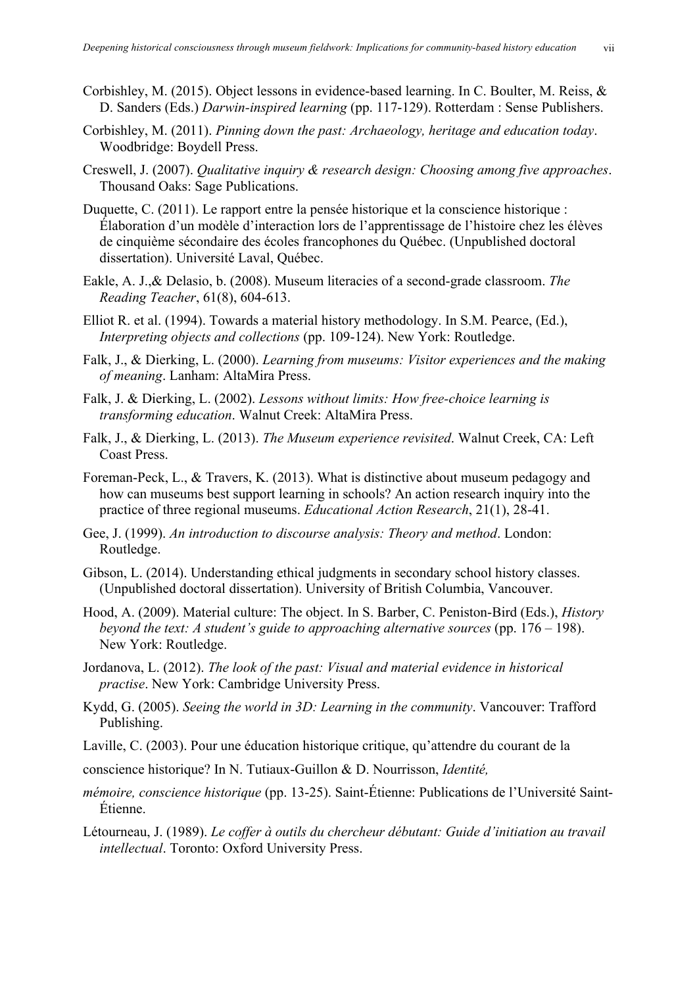- Corbishley, M. (2015). Object lessons in evidence-based learning. In C. Boulter, M. Reiss, & D. Sanders (Eds.) *Darwin-inspired learning* (pp. 117-129). Rotterdam : Sense Publishers.
- Corbishley, M. (2011). *Pinning down the past: Archaeology, heritage and education today*. Woodbridge: Boydell Press.
- Creswell, J. (2007). *Qualitative inquiry & research design: Choosing among five approaches*. Thousand Oaks: Sage Publications.
- Duquette, C. (2011). Le rapport entre la pensée historique et la conscience historique : Élaboration d'un modèle d'interaction lors de l'apprentissage de l'histoire chez les élèves de cinquième sécondaire des écoles francophones du Québec. (Unpublished doctoral dissertation). Université Laval, Québec.
- Eakle, A. J.,& Delasio, b. (2008). Museum literacies of a second-grade classroom. *The Reading Teacher*, 61(8), 604-613.
- Elliot R. et al. (1994). Towards a material history methodology. In S.M. Pearce, (Ed.), *Interpreting objects and collections* (pp. 109-124). New York: Routledge.
- Falk, J., & Dierking, L. (2000). *Learning from museums: Visitor experiences and the making of meaning*. Lanham: AltaMira Press.
- Falk, J. & Dierking, L. (2002). *Lessons without limits: How free-choice learning is transforming education*. Walnut Creek: AltaMira Press.
- Falk, J., & Dierking, L. (2013). *The Museum experience revisited*. Walnut Creek, CA: Left Coast Press.
- Foreman-Peck, L., & Travers, K. (2013). What is distinctive about museum pedagogy and how can museums best support learning in schools? An action research inquiry into the practice of three regional museums. *Educational Action Research*, 21(1), 28-41.
- Gee, J. (1999). *An introduction to discourse analysis: Theory and method*. London: Routledge.
- Gibson, L. (2014). Understanding ethical judgments in secondary school history classes. (Unpublished doctoral dissertation). University of British Columbia, Vancouver.
- Hood, A. (2009). Material culture: The object. In S. Barber, C. Peniston-Bird (Eds.), *History beyond the text: A student's guide to approaching alternative sources* (pp. 176 – 198). New York: Routledge.
- Jordanova, L. (2012). *The look of the past: Visual and material evidence in historical practise*. New York: Cambridge University Press.
- Kydd, G. (2005). *Seeing the world in 3D: Learning in the community*. Vancouver: Trafford Publishing.
- Laville, C. (2003). Pour une éducation historique critique, qu'attendre du courant de la
- conscience historique? In N. Tutiaux-Guillon & D. Nourrisson, *Identité,*
- *mémoire, conscience historique* (pp. 13-25). Saint-Étienne: Publications de l'Université Saint-Étienne.
- Létourneau, J. (1989). *Le coffer à outils du chercheur débutant: Guide d'initiation au travail intellectual*. Toronto: Oxford University Press.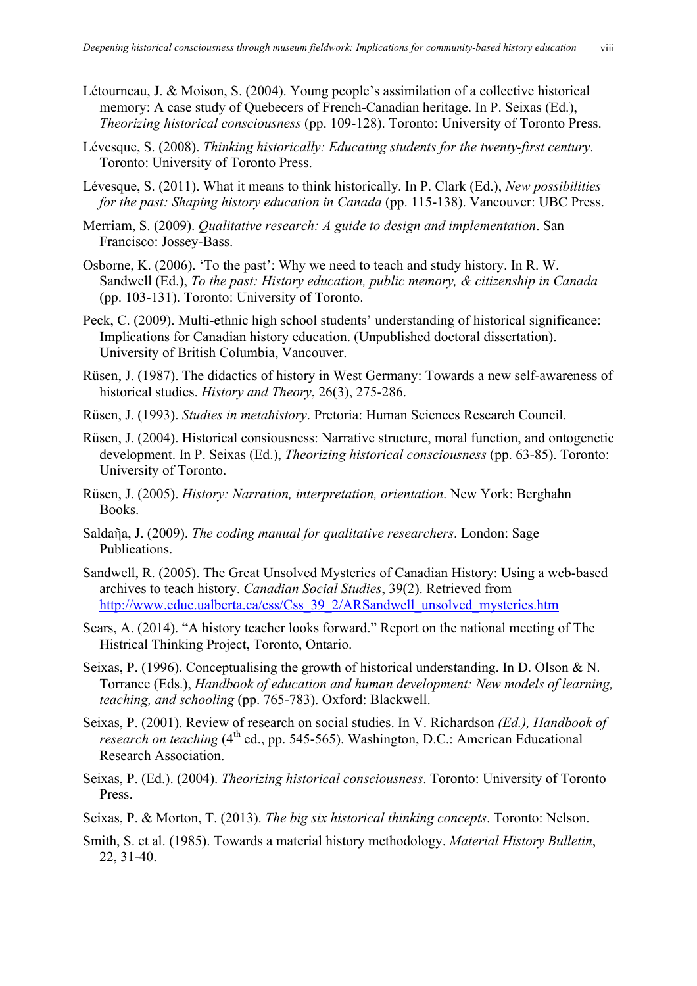- Létourneau, J. & Moison, S. (2004). Young people's assimilation of a collective historical memory: A case study of Quebecers of French-Canadian heritage. In P. Seixas (Ed.), *Theorizing historical consciousness* (pp. 109-128). Toronto: University of Toronto Press.
- Lévesque, S. (2008). *Thinking historically: Educating students for the twenty-first century*. Toronto: University of Toronto Press.
- Lévesque, S. (2011). What it means to think historically. In P. Clark (Ed.), *New possibilities for the past: Shaping history education in Canada* (pp. 115-138). Vancouver: UBC Press.
- Merriam, S. (2009). *Qualitative research: A guide to design and implementation*. San Francisco: Jossey-Bass.
- Osborne, K. (2006). 'To the past': Why we need to teach and study history. In R. W. Sandwell (Ed.), *To the past: History education, public memory, & citizenship in Canada* (pp. 103-131). Toronto: University of Toronto.
- Peck, C. (2009). Multi-ethnic high school students' understanding of historical significance: Implications for Canadian history education. (Unpublished doctoral dissertation). University of British Columbia, Vancouver.
- Rüsen, J. (1987). The didactics of history in West Germany: Towards a new self-awareness of historical studies. *History and Theory*, 26(3), 275-286.
- Rüsen, J. (1993). *Studies in metahistory*. Pretoria: Human Sciences Research Council.
- Rüsen, J. (2004). Historical consiousness: Narrative structure, moral function, and ontogenetic development. In P. Seixas (Ed.), *Theorizing historical consciousness* (pp. 63-85). Toronto: University of Toronto.
- Rüsen, J. (2005). *History: Narration, interpretation, orientation*. New York: Berghahn Books.
- Saldaῆa, J. (2009). *The coding manual for qualitative researchers*. London: Sage Publications.
- Sandwell, R. (2005). The Great Unsolved Mysteries of Canadian History: Using a web-based archives to teach history. *Canadian Social Studies*, 39(2). Retrieved from http://www.educ.ualberta.ca/css/Css\_39\_2/ARSandwell\_unsolved\_mysteries.htm
- Sears, A. (2014). "A history teacher looks forward." Report on the national meeting of The Histrical Thinking Project, Toronto, Ontario.
- Seixas, P. (1996). Conceptualising the growth of historical understanding. In D. Olson & N. Torrance (Eds.), *Handbook of education and human development: New models of learning, teaching, and schooling* (pp. 765-783). Oxford: Blackwell.
- Seixas, P. (2001). Review of research on social studies. In V. Richardson *(Ed.), Handbook of research on teaching* (4<sup>th</sup> ed., pp. 545-565). Washington, D.C.: American Educational Research Association.
- Seixas, P. (Ed.). (2004). *Theorizing historical consciousness*. Toronto: University of Toronto Press.
- Seixas, P. & Morton, T. (2013). *The big six historical thinking concepts*. Toronto: Nelson.
- Smith, S. et al. (1985). Towards a material history methodology. *Material History Bulletin*, 22, 31-40.